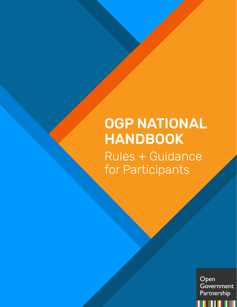# OGP NATIONAL HANDBOOK Rules + Guidance for Participants

Open Government Partnership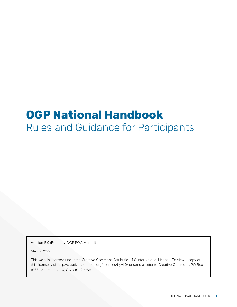## **OGP National Handbook** Rules and Guidance for Participants

Version 5.0 (Formerly OGP POC Manual)

March 2022

This work is licensed under the Creative Commons Attribution 4.0 International License. To view a copy of this license, visit<http://creativecommons.org/licenses/by/4.0/>or send a letter to Creative Commons, PO Box 1866, Mountain View, CA 94042, USA.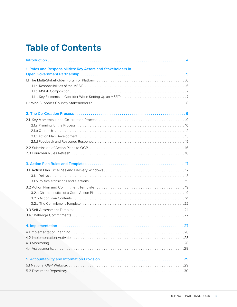## Table of Contents

| 1. Roles and Responsibilities: Key Actors and Stakeholders in |
|---------------------------------------------------------------|
|                                                               |
|                                                               |
|                                                               |
|                                                               |
|                                                               |
|                                                               |
|                                                               |
|                                                               |
|                                                               |
|                                                               |
|                                                               |
|                                                               |
|                                                               |
|                                                               |
|                                                               |
|                                                               |
|                                                               |
|                                                               |
|                                                               |
|                                                               |
|                                                               |
|                                                               |
|                                                               |
|                                                               |
|                                                               |
|                                                               |
|                                                               |
|                                                               |
|                                                               |
|                                                               |
|                                                               |
|                                                               |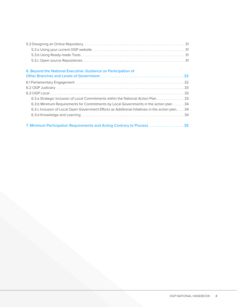| 6. Beyond the National Executive: Guidance on Participation of                                  |
|-------------------------------------------------------------------------------------------------|
|                                                                                                 |
|                                                                                                 |
|                                                                                                 |
|                                                                                                 |
| 6.3.a Strategic Inclusion of Local Commitments within the National Action Plan 33               |
| 6.3.b Minimum Requirements for Commitments by Local Governments in the action plan 34           |
| 6.3.c Inclusion of Local Open Government Efforts as Additional Initiatives in the action plan34 |
|                                                                                                 |
| 7. Minimum Participation Requirements and Acting Contrary to Process 35                         |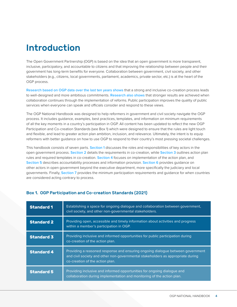## <span id="page-4-0"></span>Introduction

The Open Government Partnership (OGP) is based on the idea that an open government is more transparent, inclusive, participatory, and accountable to citizens and that improving the relationship between people and their government has long-term benefits for everyone. Collaboration between government, civil society, and other stakeholders (e.g., citizens, local governments, parliament, academics, private sector, etc.) is at the heart of the OGP process.

[Research based on OGP data over the last ten years shows](https://www.opengovpartnership.org/ogp-at-ten-toward-democratic-renewal/) that a strong and inclusive co-creation process leads to well-designed and more ambitious commitments. [Research also shows](https://www.opengovpartnership.org/ogp-vital-signs-10-years-of-data-in-review/) that stronger results are achieved when collaboration continues through the implementation of reforms. Public participation improves the quality of public services when everyone can speak and officials consider and respond to these views.

The OGP National Handbook was designed to help reformers in government and civil society navigate the OGP process. It includes guidance, examples, best practices, templates, and information on minimum requirements of all the key moments in a country's participation in OGP. All content has been updated to reflect the new OGP Participation and Co-creation Standards (see Box 1) which were designed to ensure that the rules are light touch and flexible, and lead to greater action plan ambition, inclusion, and relevance. Ultimately, the intent is to equip reformers with better guidance on how to use OGP to respond to their country's most pressing societal challenges.

This handbook consists of seven parts. [Section 1](#page-5-0) discusses the roles and responsibilities of key actors in the open government process. [Section 2](#page-9-1) details the requirements in co-creation, while [Section 3](#page-17-1) outlines action plan rules and required templates in co-creation. [Section 4](#page-27-2) focuses on implementation of the action plan, and [Section 5](#page-29-2) describes accountability processes and information provision. [Section 6](#page-32-1) provides quidance on other actors in open government beyond the executive department, more specifically the judiciary and local governments. Finally, [Section 7](#page-35-1) provides the minimum participation requirements and guidance for when countries are considered acting contrary to process.

| <b>Standard 1</b> | Establishing a space for ongoing dialogue and collaboration between government,<br>civil society, and other non-governmental stakeholders.                                                           |
|-------------------|------------------------------------------------------------------------------------------------------------------------------------------------------------------------------------------------------|
| <b>Standard 2</b> | Providing open, accessible and timely information about activities and progress<br>within a member's participation in OGP.                                                                           |
| <b>Standard 3</b> | Providing inclusive and informed opportunities for public participation during<br>co-creation of the action plan.                                                                                    |
| <b>Standard 4</b> | Providing a reasoned response and ensuring ongoing dialogue between government<br>and civil society and other non-governmental stakeholders as appropriate during<br>co-creation of the action plan. |
| <b>Standard 5</b> | Providing inclusive and informed opportunities for ongoing dialogue and<br>collaboration during implementation and monitoring of the action plan.                                                    |

#### Box 1. OGP Participation and Co-creation Standards (2021)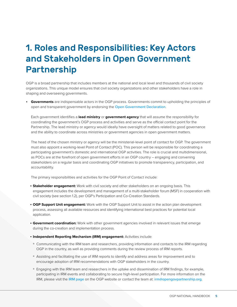## <span id="page-5-0"></span>1. Roles and Responsibilities: Key Actors and Stakeholders in Open Government Partnership

OGP is a broad partnership that includes members at the national and local level and thousands of civil society organizations. This unique model ensures that civil society organizations and other stakeholders have a role in shaping and overseeing governments.

• **Governments** are indispensable actors in the OGP process. Governments commit to upholding the principles of open and transparent government by endorsing the [Open Government Declaration](https://www.opengovpartnership.org/process/joining-ogp/open-government-declaration/).

Each government identifies a **lead ministry** or **government agency** that will assume the responsibility for coordinating the government's OGP process and activities and serve as the official contact point for the Partnership. The lead ministry or agency would ideally have oversight of matters related to good governance and the ability to coordinate across ministries or government agencies in open government matters.

The head of the chosen ministry or agency will be the ministerial-level point of contact for OGP. The government must also appoint a working-level Point of Contact (POC). This person will be responsible for coordinating a participating government's domestic and international OGP activities. The role is crucial and multidimensional, as POCs are at the forefront of open government efforts in an OGP country – engaging and convening stakeholders on a regular basis and coordinating OGP initiatives to promote transparency, participation, and accountability.

The primary responsibilities and activities for the OGP Point of Contact include:

- **Stakeholder engagement:** Work with civil society and other stakeholders on an ongoing basis. This engagement includes the development and management of a multi-stakeholder forum (MSF) in cooperation with civil society (see section 1.2), per OGP's Participation and Co-Creation Standards.
- **OGP Support Unit engagement:** Work with the OGP Support Unit to assist in the action plan development process, assessing all available resources and identifying international best practices for potential local application.
- **Government coordination:** Work with other government agencies involved in relevant issues that emerge during the co-creation and implementation process.
- **Independent Reporting Mechanism (IRM) engagement:** Activities include:
- Communicating with the IRM team and researchers, providing information and contacts to the IRM regarding OGP in the country, as well as providing comments during the review process of IRM reports.
- Assisting and facilitating the use of IRM reports to identify and address areas for improvement and to encourage adoption of IRM recommendations with OGP stakeholders in the country.
- Engaging with the IRM team and researchers in the uptake and dissemination of IRM findings, for example, participating in IRM events and collaborating to secure high-level participation. For more information on the IRM, please visit the [IRM page](https://www.opengovpartnership.org/irm-guidance-overview/) on the OGP website or contact the team at: [irm@opengovpartnership.org](mailto:irm@opengovpartnership.org).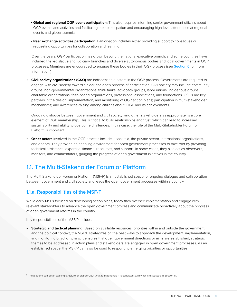- <span id="page-6-0"></span>• **Global and regional OGP event participation:** This also requires informing senior government officials about OGP events and activities and facilitating their participation and encouraging high-level attendance at regional events and global summits.
- **Peer exchange activities participation:** Participation includes either providing support to colleagues or requesting opportunities for collaboration and learning.

Over the years, OGP participation has grown beyond the national executive branch, and some countries have included the legislative and judiciary branches and diverse autonomous bodies and local governments in OGP processes. Members are encouraged to engage these bodies in their OGP process (see [Section 6](#page-32-1) for more information.)

• **Civil society organizations (CSO)** are indispensable actors in the OGP process. Governments are required to engage with civil society toward a clear and open process of participation. Civil society may include community groups, non-governmental organizations, think tanks, advocacy groups, labor unions, indigenous groups, charitable organizations, faith-based organizations, professional associations, and foundations. CSOs are key partners in the design, implementation, and monitoring of OGP action plans; participation in multi-stakeholder mechanisms; and awareness-raising among citizens about OGP and its achievements.

Ongoing dialogue between government and civil society (and other stakeholders as appropriate) is a core element of OGP membership. This is critical to build relationships and trust, which can lead to increased sustainability and ability to overcome challenges. In this case, the role of the Multi-Stakeholder Forum or Platform is important.

• **Other actors** involved in the OGP process include: academia, the private sector, international organizations, and donors. They provide an enabling environment for open government processes to take root by providing technical assistance, expertise, financial resources, and support. In some cases, they also act as observers, monitors, and commentators, gauging the progress of open government initiatives in the country.

### 1.1. The Multi-Stakeholder Forum or Platform

The Multi-Stakeholder Forum or Platform<sup>1</sup> (MSF/P) is an established space for ongoing dialogue and collaboration between government and civil society and leads the open government processes within a country.

#### 1.1.a. Responsibilities of the MSF/P

While early MSFs focused on developing action plans, today they oversee implementation and engage with relevant stakeholders to advance the open government process and communicate proactively about the progress of open government reforms in the country.

Key responsibilities of the MSF/P include:

• **Strategic and tactical planning.** Based on available resources, priorities within and outside the government, and the political context, the MSF/P strategizes on the best ways to approach the development, implementation, and monitoring of action plans. It ensures that open government directions or aims are established, strategic themes to be addressed in action plans and stakeholders are engaged in open government processes. As an established space, the MSF/P can also be used to respond to emerging priorities or opportunities.

1 The platform can be an existing structure or platform, but what is important is it is consistent with what is discussed in Section 1.1.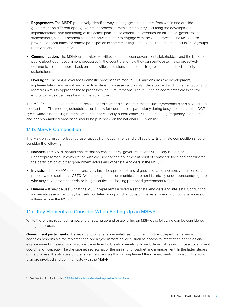- <span id="page-7-1"></span>• **Engagement.** The MSF/P proactively identifies ways to engage stakeholders from within and outside government on different open government processes within the country, including the development, implementation, and monitoring of the action plan. It also establishes avenues for other non-governmental stakeholders, such as academia and the private sector to engage with the OGP process. The MSF/P also provides opportunities for remote participation in some meetings and events to enable the inclusion of groups unable to attend in person.
- **Communication.** The MSF/P undertakes activities to inform open government stakeholders and the broader public about open government processes in the country and how they can participate. It also proactively communicates and reports back on its activities, decisions, and results to government and civil society stakeholders.
- **Oversight.** The MSF/P oversees domestic processes related to OGP and ensures the development, implementation, and monitoring of action plans. It assesses action plan development and implementation and identifies ways to approach these processes in future iterations. The MSF/P also coordinates cross-sector efforts towards openness beyond the action plan.

The MSF/P should develop mechanisms to coordinate and collaborate that include synchronous and asynchronous mechanisms. The meeting schedule should allow for coordination, particularly during busy moments in the OGP cycle, without becoming burdensome and unnecessarily bureaucratic. Rules on meeting frequency, membership, and decision-making processes should be published on the national OGP website.

#### <span id="page-7-0"></span>1.1.b. MSF/P Composition

The MSF/platform comprises representatives from government and civil society. Its ultimate composition should consider the following:

- **Balance.** The MSF/P should ensure that no constituency, government, or civil society is over- or underrepresented. In consultation with civil society, the government point of contact defines and coordinates the participation of other government actors and other stakeholders in the MSF/P.
- **Inclusion.** The MSF/P should proactively include representatives of groups such as women, youth, seniors, people with disabilities, LGBTQIA+ and indigenous communities, or other historically underrepresented groups who may have different needs or insights critical to shaping proposed government reforms.
- **Diverse**  It may be useful that the MSF/P represents a diverse set of stakeholders and interests. Conducting a diversity assessment may be useful in determining which groups or interests have or do not have access or influence over the MSF/P.<sup>2</sup>

#### 1.1.c. Key Elements to Consider When Setting Up an MSF/P

While there is no required framework for setting up and establishing an MSF/P, the following can be considered during the process:

**Government participants.** It is important to have representatives from the ministries, departments, and/or agencies responsible for implementing open government policies, such as access to information agencies and e-government or telecommunications departments. It is also beneficial to include ministries with cross-government coordination capacity, like the cabinet secretariat or the ministry for budget and management. In the latter stages of the process, it is also useful to ensure the agencies that will implement the commitments included in the action plan are involved and communicate with the MSF/P.

<sup>2</sup> See Section 2 of Tool 1 in this [OGP Toolkit for More Gender-Responsive Action Plans](https://www.opengovpartnership.org/wp-content/uploads/2021/12/Gender-toolkit.pdf).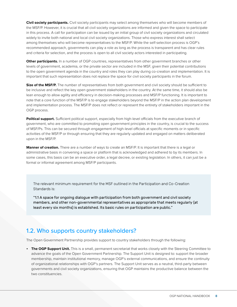<span id="page-8-0"></span>**Civil society participants.** Civil society participants may select among themselves who will become members of the MSF/P. However, it is crucial that all civil society organizations are informed and given the space to participate in this process. A call for participation can be issued by an initial group of civil society organizations and circulated widely to invite both national and local civil society organizations. Those who express interest shall select among themselves who will become representatives to the MSF/P. While the self-selection process is OGP's recommended approach, governments can play a role as long as the process is transparent and has clear rules and criteria for selection, and the process is open to all civil society actors interested in participating.

**Other participants.** In a number of OGP countries, representatives from other government branches or other levels of government, academia, or the private sector are included in the MSF, given their potential contributions to the open government agenda in the country and roles they can play during co-creation and implementation. It is important that such representation does not replace the space for civil society participants in the forum.

**Size of the MSF/P.** The number of representatives from both government and civil society should be sufficient to be inclusive and reflect the key open government stakeholders in the country. At the same time, it should also be lean enough to allow agility and efficiency in decision-making processes and MSF/P functioning. It is important to note that a core function of the MSF/P is to engage stakeholders beyond the MSF/P in the action plan development and implementation process. The MSF/P does not reflect or represent the entirety of stakeholders important in the OGP process.

**Political support.** Sufficient political support, especially from high-level officials from the executive branch of government, who are committed to promoting open government principles in the country, is crucial to the success of MSF/Ps. This can be secured through engagement of high-level officials at specific moments or in specific activities of the MSF/P or through ensuring that they are regularly updated and engaged on matters deliberated upon in the MSF/P.

**Manner of creation.** There are a number of ways to create an MSF/P. It is important that there is a legal or administrative basis in convening a space or platform that is acknowledged and adhered to by its members. In some cases, this basis can be an executive order, a legal decree, or existing legislation. In others, it can just be a formal or informal agreement among MSF/P participants.

The relevant minimum requirement for the MSF outlined in the Participation and Co-Creation Standards is:

"1.1 A space for ongoing dialogue with participation from both government and civil society members, and other non-governmental representatives as appropriate that meets regularly (at least every six months) is established. Its basic rules on participation are public."

### 1.2. Who supports country stakeholders?

The Open Government Partnership provides support to country stakeholders through the following:

• **The OGP Support Unit.** This is a small, permanent secretariat that works closely with the Steering Committee to advance the goals of the Open Government Partnership. The Support Unit is designed to: support the broader membership, maintain institutional memory, manage OGP's external communications, and ensure the continuity of organizational relationships with OGP's partners. The Support Unit serves as a neutral, third-party between governments and civil society organizations, ensuring that OGP maintains the productive balance between the two constituencies.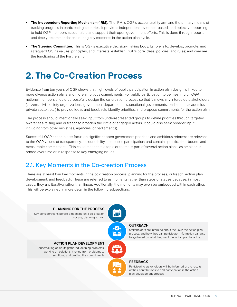- <span id="page-9-0"></span>• **The Independent Reporting Mechanism (IRM).** The IRM is OGP's accountability arm and the primary means of tracking progress in participating countries. It provides independent, evidence-based, and objective reporting to hold OGP members accountable and support their open government efforts. This is done through reports and timely recommendations during key moments in the action plan cycle.
- **The Steering Committee.** This is OGP's executive decision-making body. Its role is to: develop, promote, and safeguard OGP's values, principles, and interests; establish OGP's core ideas, policies, and rules; and oversee the functioning of the Partnership.

## <span id="page-9-1"></span>2. The Co-Creation Process

Evidence from ten years of OGP shows that high levels of public participation in action plan design is linked to more diverse action plans and more ambitious commitments. For public participation to be meaningful, OGP national members should purposefully design the co-creation process so that it allows any interested stakeholders (citizens, civil society organizations, government departments, subnational governments, parliament, academics, private sector, etc.) to provide ideas and feedback, identify priorities, and propose commitments for the action plan.

The process should intentionally seek input from underrepresented groups to define priorities through targeted awareness-raising and outreach to broaden the circle of engaged actors. It could also seek broader input, including from other ministries, agencies, or parliament(s).

Successful OGP action plans: focus on significant open government priorities and ambitious reforms; are relevant to the OGP values of transparency, accountability, and public participation; and contain specific, time-bound, and measurable commitments. This could mean that a topic or theme is part of several action plans, as ambition is added over time or in response to key emerging issues.

### <span id="page-9-2"></span>2.1. Key Moments in the Co-creation Process

There are at least four key moments in the co-creation process: planning for the process, outreach, action plan development, and feedback. These are referred to as moments rather than steps or stages because, in most cases, they are iterative rather than linear. Additionally, the moments may even be embedded within each other. This will be explained in more detail in the following subsections.

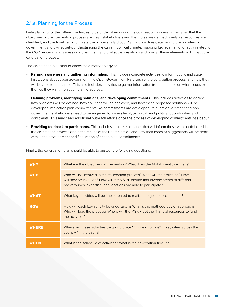#### <span id="page-10-0"></span>2.1.a. Planning for the Process

Early planning for the different activities to be undertaken during the co-creation process is crucial so that the objectives of the co-creation process are clear, stakeholders and their roles are defined, available resources are identified, and the timeline to complete the process is laid out. Planning involves determining the priorities of government and civil society, understanding the current political climate, mapping key events not directly related to the OGP process, and assessing government and civil society relations and how all these elements will impact the co-creation process.

The co-creation plan should elaborate a methodology on:

- **Raising awareness and gathering information.** This includes concrete activities to inform public and state institutions about open government, the Open Government Partnership, the co-creation process, and how they will be able to participate. This also includes activities to gather information from the public on what issues or themes they want the action plan to address.
- **Defining problems, identifying solutions, and developing commitments.** This includes activities to decide: how problems will be defined, how solutions will be achieved, and how these proposed solutions will be developed into action plan commitments. As commitments are developed, relevant government and non government stakeholders need to be engaged to assess legal, technical, and political opportunities and constraints. This may need additional outreach efforts once the process of developing commitments has begun.
- **Providing feedback to participants.** This includes concrete activities that will inform those who participated in the co-creation process about the results of their participation and how their ideas or suggestions will be dealt with in the development and finalization of action plan commitments.

| <b>WHY</b>   | What are the objectives of co-creation? What does the MSF/P want to achieve?                                                                                                                                                          |
|--------------|---------------------------------------------------------------------------------------------------------------------------------------------------------------------------------------------------------------------------------------|
| <b>WHO</b>   | Who will be involved in the co-creation process? What will their roles be? How<br>will they be involved? How will the MSF/P ensure that diverse actors of different<br>backgrounds, expertise, and locations are able to participate? |
| <b>WHAT</b>  | What key activities will be implemented to realize the goals of co-creation?                                                                                                                                                          |
| <b>HOW</b>   | How will each key activity be undertaken? What is the methodology or approach?<br>Who will lead the process? Where will the MSF/P get the financial resources to fund<br>the activities?                                              |
| <b>WHERE</b> | Where will these activities be taking place? Online or offline? In key cities across the<br>country? In the capital?                                                                                                                  |
| <b>WHEN</b>  | What is the schedule of activities? What is the co-creation timeline?                                                                                                                                                                 |

Finally, the co-creation plan should be able to answer the following questions: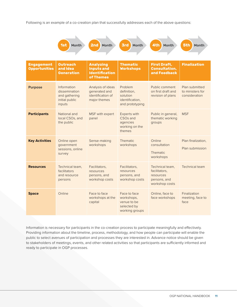Following is an example of a co-creation plan that successfully addresses each of the above questions:



| <b>Engagement</b><br><b>Opportunities</b> | <b>Outreach</b><br>and Idea<br><b>Generation</b>                          | <b>Analyzing</b><br><b>Inputs and</b><br><b>Identification</b><br>of Themes | <b>Thematic</b><br><b>Workshops</b>                                                 | <b>First Draft,</b><br><b>Consultation,</b><br>and Feedback                     | <b>Finalization</b>                                 |
|-------------------------------------------|---------------------------------------------------------------------------|-----------------------------------------------------------------------------|-------------------------------------------------------------------------------------|---------------------------------------------------------------------------------|-----------------------------------------------------|
| <b>Purpose</b>                            | Information<br>dissemination<br>and gathering<br>initial public<br>inputs | Analysis of ideas<br>generated and<br>identification of<br>major themes     | Problem<br>definition.<br>solution<br>identification.<br>and prototyping            | Public comment<br>on first draft and<br>revision of plans                       | Plan submitted<br>to ministers for<br>consideration |
| <b>Participants</b>                       | National and<br>local CSOs, and<br>the public                             | MSF with expert<br>panel                                                    | <b>Experts with</b><br>CSO <sub>s</sub> and<br>agencies<br>working on the<br>themes | Public in general,<br>thematic working<br>groups                                | <b>MSF</b>                                          |
| <b>Key Activities</b>                     | Online open<br>government<br>sessions, online<br>survey                   | Sense-making<br>workshops                                                   | <b>Thematic</b><br>workshops                                                        | Online<br>consultation<br>Thematic.<br>workshops                                | Plan finalization,<br>Plan submission               |
| <b>Resources</b>                          | Technical team,<br>facilitators<br>and resource<br>persons                | Facilitators,<br>resources<br>persons, and<br>workshop costs                | Facilitators,<br>resources<br>persons, and<br>workshop costs                        | Technical team,<br>facilitators.<br>resources<br>persons, and<br>workshop costs | <b>Technical team</b>                               |
| <b>Space</b>                              | Online                                                                    | Face to face<br>workshops at the<br>capital                                 | Face to face<br>workshops,<br>venue to be<br>selected by<br>working groups          | Online, face to<br>face workshops                                               | Finalization<br>meeting, face to<br>face            |

Information is necessary for participants in the co-creation process to participate meaningfully and effectively. Providing information about the timeline, process, methodology, and how people can participate will enable the public to select avenues of participation and processes they are interested in. Advance notice should be given to stakeholders of meetings, events, and other related activities so that participants are sufficiently informed and ready to participate in OGP processes.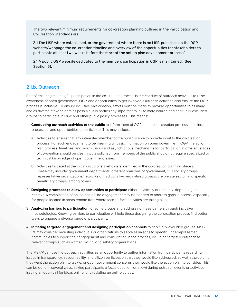<span id="page-12-0"></span>The two relevant minimum requirements for co-creation planning outlined in the Participation and Co-Creation Standards are:

3.1 The MSF where established, or the government where there is no MSF, publishes on the OGP website/webpage the co-creation timeline and overview of the opportunities for stakeholders to participate at least two weeks before the start of the action plan development process"

2.1 A public OGP website dedicated to the members participation in OGP is maintained. (See Section 5).

#### 2.1.b. Outreach

Part of ensuring meaningful participation in the co-creation process is the conduct of outreach activities to raise awareness of open government, OGP, and opportunities to get involved. Outreach activities also ensure the OGP process is inclusive. To ensure inclusive participation, efforts must be made to provide opportunities to as many and as diverse stakeholders as possible. It is particularly important to invite marginalized and habitually-excluded groups to participate in OGP and other public policy processes. This means:

- 1. **Conducting outreach activities to the public** to inform them of OGP and the co-creation process, timeline, processes, and opportunities to participate. This may include:
	- a. Activities to ensure that any interested member of the public is able to provide input to the co-creation process. For such engagement to be meaningful, basic information on open government, OGP, the action plan process, timelines, and synchronous and asynchronous mechanisms for participation at different stages of co-creation should be clear. Inputs solicited from members of the public should not require specialized or technical knowledge of open government issues.
	- b. Activities targeted at the initial group of stakeholders identified in the co-creation planning stages. These may include: government departments, different branches of government, civil society groups, representative organizations/networks of traditionally-marginalized groups, the private sector, and specific beneficiary groups, among others.
- 2. **Designing processes to allow opportunities to participate** either physically or remotely, depending on context. A combination of online and offline engagement may be needed to address gaps in access, especially for people located in areas remote from where face-to-face activities are taking place.
- 3. **Analyzing barriers to participation** for some groups and addressing these barriers through inclusive methodologies. Knowing barriers to participation will help those designing the co-creation process find better ways to engage a diverse range of participants.
- 4. **Initiating targeted engagement and designing participation channels** to habitually-excluded groups. MSF/ Ps may consider recruiting individuals or organizations to serve as liaisons to specific underrepresented communities to support their engagement and consultation in the process, including targeted outreach to relevant groups such as women, youth, or disability organizations.

The MSF/P can use the outreach activities as an opportunity to gather information from participants regarding issues in transparency, accountability, and citizen participation that they would like addressed, as well as problems they want the action plan to tackle, or open government concerns they would like the action plan to consider. This can be done in several ways: asking participants a focus question (or a few) during outreach events or activities, issuing an open call for ideas online, or circulating an online survey.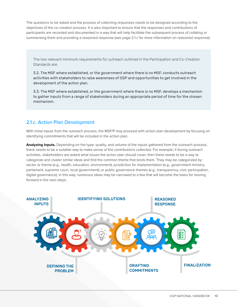<span id="page-13-0"></span>The questions to be asked and the process of collecting responses needs to be designed according to the objectives of the co-creation process. It is also important to ensure that the responses and contributions of participants are recorded and documented in a way that will help facilitate the subsequent process of collating or summarizing them and providing a reasoned response (see page 2.1.c for more information on reasoned response).

The two relevant minimum requirements for outreach outlined in the Participation and Co-Creation Standards are:

3.2. The MSF where established, or the government where there is no MSF, conducts outreach activities with stakeholders to raise awareness of OGP and opportunities to get involved in the development of the action plan.

3.3. The MSF where established, or the government where there is no MSF, develops a mechanism to gather inputs from a range of stakeholders during an appropriate period of time for the chosen mechanism.

#### 2.1.c. Action Plan Development

With initial inputs from the outreach process, the MSF/P may proceed with action plan development by focusing on identifying commitments that will be included in the action plan.

**Analyzing Inputs.** Depending on the type, quality, and volume of the inputs gathered from the outreach process, there needs to be a suitable way to make sense of the contributions collected. For example, if during outreach activities, stakeholders are asked what issues the action plan should cover, then there needs to be a way to categorize and cluster similar ideas and find the common theme that binds them. They may be categorized by: sector or theme (e.g., health, education, environment); jurisdiction for implementation (e.g., government ministry, parliament, supreme court, local government); or public governance themes (e.g., transparency, civic participation, digital governance). In this way, numerous ideas may be narrowed to a few that will become the basis for moving forward in the next steps.

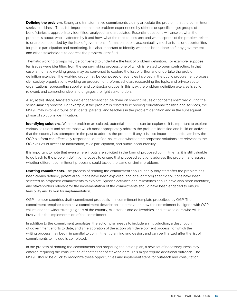**Defining the problem.** Strong and transformative commitments clearly articulate the problem that the commitment seeks to address. Thus, it is important that the problem experienced by citizens or specific target groups of beneficiaries is appropriately identified, analyzed, and articulated. Essential questions will answer: what the problem is about; who is affected by it and how; what the root causes are; and what aspects of the problem relate to or are compounded by the lack of government information, public accountability mechanisms, or opportunities for public participation and monitoring. It is also important to identify what has been done so far by government and other stakeholders to address the problem identified.

Thematic working groups may be convened to undertake the task of problem definition. For example, suppose ten issues were identified from the sense-making process, one of which is related to open contracting. In that case, a thematic working group may be convened to explore the issue further and undertake the problem definition exercise. The working group may be composed of agencies involved in the public procurement process, civil society organizations working on procurement reform, scholars researching the topic, and private sector organizations representing supplier and contractor groups. In this way, the problem definition exercise is solid, relevant, and comprehensive, and engages the right stakeholders.

Also, at this stage, targeted public engagement can be done on specific issues or concerns identified during the sense-making process. For example, if the problem is related to improving educational facilities and services, the MSF/P may involve groups of students, parents, and teachers in the problem definition and in the subsequent phase of solutions identification.

**Identifying solutions.** With the problem articulated, potential solutions can be explored. It is important to explore various solutions and select those which most appropriately address the problem identified and build on activities that the country has attempted in the past to address the problem, if any. It is also important to articulate how the OGP platform can effectively respond to identified issues and whether the proposed solutions are relevant to the OGP values of access to information, civic participation, and public accountability.

It is important to note that even where inputs are solicited in the form of proposed commitments, it is still valuable to go back to the problem definition process to ensure that proposed solutions address the problem and assess whether different commitment proposals could tackle the same or similar problems.

**Drafting commitments.** The process of drafting the commitment should ideally only start after the problem has been clearly defined, potential solutions have been explored, and one (or more) specific solutions have been selected as proposed commitments to explore. Specific activities and milestones should have also been identified, and stakeholders relevant for the implementation of the commitments should have been engaged to ensure feasibility and buy-in for implementation.

OGP member countries draft commitment proposals in a commitment template prescribed by OGP. The commitment template contains a commitment description, a narrative on how the commitment is aligned with OGP values and the wider strategic goals of the country, milestones and deliverables, and stakeholders who will be involved in the implementation of the commitment.

In addition to the commitment templates, the action plan needs to include an introduction, a description of government efforts to date, and an elaboration of the action plan development process, for which the writing process may begin in parallel to commitment planning and design, and can be finalized after the list of commitments to include is completed.

In the process of drafting the commitments and preparing the action plan, a new set of necessary ideas may emerge requiring the consultation of another set of stakeholders. This might require additional outreach. The MSF/P should be quick to recognize these opportunities and implement steps for outreach and consultation.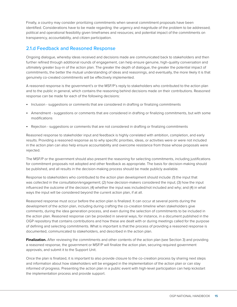<span id="page-15-0"></span>Finally, a country may consider prioritizing commitments when several commitment proposals have been identified. Considerations have to be made regarding: the urgency and magnitude of the problem to be addressed; political and operational feasibility given timeframes and resources; and potential impact of the commitments on transparency, accountability, and citizen participation.

#### 2.1.d Feedback and Reasoned Response

Ongoing dialogue, whereby ideas received and decisions made are communicated back to stakeholders and then further refined through additional rounds of engagement, can help ensure genuine, high-quality conversation and ultimately greater buy-in of the action plan. The greater the depth of dialogue, the greater the potential impact of commitments, the better the mutual understanding of ideas and reasonings, and eventually, the more likely it is that genuinely co-created commitments will be effectively implemented.

A reasoned response is the government's or the MSF/P's reply to stakeholders who contributed to the action plan and to the public in general, which contains the reasoning behind decisions made on their contributions. Reasoned response can be made for each of the following decisions:

- Inclusion suggestions or comments that are considered in drafting or finalizing commitments
- Amendment suggestions or comments that are considered in drafting or finalizing commitments, but with some modifications
- Rejection suggestions or comments that are not considered in drafting or finalizing commitments

Reasoned response to stakeholder input and feedback is highly correlated with ambition, completion, and early results. Providing a reasoned response as to why specific priorities, ideas, or activities were or were not included in the action plan can also help ensure accountability and overcome resistance from those whose proposals were rejected.

The MSF/P or the government should also present the reasoning for selecting commitments, including justifications for commitment proposals not adopted and other feedback as appropriate. The basis for decision-making should be published, and all results in the decision-making process should be made publicly available.

Response to stakeholders who contributed to the action plan development should include: (1) the input that was collected in the consultation/engagement; (2) how decision-makers considered the input; (3) how the input influenced the outcome of the decision; (4) whether the input was included/not included and why; and (4) in what ways the input will be considered beyond the current action plan, if at all.

Reasoned response must occur before the action plan is finalized. It can occur at several points during the development of the action plan, including during crafting the co-creation timeline when stakeholders give comments, during the idea generation process, and even during the selection of commitments to be included in the action plan. Reasoned response can be provided in several ways, for instance, in a document published in the OGP repository that contains contributions and how these are dealt with or during meetings called for the purpose of defining and selecting commitments. What is important is that the process of providing a reasoned response is documented, communicated to stakeholders, and described in the action plan.

**Finalization.** After reviewing the commitments and other contents of the action plan (see Section 3) and providing a reasoned response, the government or MSF/P will finalize the action plan, securing required government approvals, and submit it to the Support Unit.

Once the plan is finalized, it is important to also provide closure to the co-creation process by sharing next steps and information about how stakeholders will be engaged in the implementation of the action plan or can stay informed of progress. Presenting the action plan in a public event with high-level participation can help kickstart the implementation process and provide support.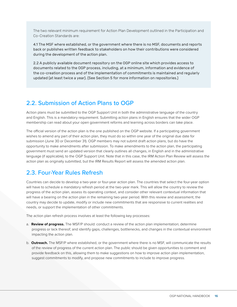<span id="page-16-0"></span>The two relevant minimum requirement for Action Plan Development outlined in the Participation and Co-Creation Standards are:

4.1 The MSF where established, or the government where there is no MSF, documents and reports back or publishes written feedback to stakeholders on how their contributions were considered during the development of the action plan.

2.2 A publicly available document repository on the OGP online site which provides access to documents related to the OGP process, including, at a minimum, information and evidence of the co-creation process and of the implementation of commitments is maintained and regularly updated (at least twice a year). (See Section 5 for more information on repositories.)

#### 2.2. Submission of Action Plans to OGP

Action plans must be submitted to the OGP Support Unit in both the administrative language of the country and English. This is a mandatory requirement. Submitting action plans in English ensures that the wider OGP membership can read about your open government reforms and learning across borders can take place.

The official version of the action plan is the one published on the OGP website. If a participating government wishes to amend any part of their action plan, they must do so within one year of the original due date for submission (June 30 or December 31). OGP members may not submit draft action plans, but do have the opportunity to make amendments after submission. To make amendments to the action plan, the participating government must send an updated version that clearly outlines all changes, in English and in the administrative language (if applicable), to the OGP Support Unit. Note that in this case, the IRM Action Plan Review will assess the action plan as originally submitted, but the IRM Results Report will assess the amended action plan.

### 2.3. Four-Year Rules Refresh

Countries can decide to develop a two-year or four-year action plan. The countries that select the four-year option will have to schedule a mandatory refresh period at the two-year mark. This will allow the country to review the progress of the action plan, assess its operating context, and consider other relevant contextual information that will have a bearing on the action plan in the remaining two-year period. With this review and assessment, the country may decide to update, modify or include new commitments that are responsive to current realities and needs, or support the implementation of other commitments.

The action plan refresh process involves at least the following key processes:

- a. **Review of progress.** The MSF/P should: conduct a review of the action plan implementation; determine progress or lack thereof; and identify gaps, challenges, bottlenecks, and changes in the contextual environment impacting the action plan.
- b. **Outreach.** The MSF/P where established, or the government where there is no MSF, will communicate the results of the review of progress of the current action plan. The public should be given opportunities to comment and provide feedback on this, allowing them to make suggestions on how to improve action plan implementation, suggest commitments to modify, and propose new commitments to include to improve progress.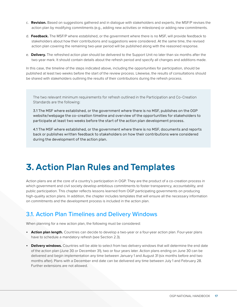- <span id="page-17-0"></span>c. **Revision.** Based on suggestions gathered and in dialogue with stakeholders and experts, the MSF/P revises the action plan by modifying commitments (e.g., adding new activities or milestones) or adding new commitments.
- d. **Feedback.** The MSF/P where established, or the government where there is no MSF, will provide feedback to stakeholders about how their contributions and suggestions were considered. At the same time, the revised action plan covering the remaining two-year period will be published along with the reasoned response.
- e. **Delivery.** The refreshed action plan should be delivered to the Support Unit no later than six months after the two-year mark. It should contain details about the refresh period and specify all changes and additions made.

In this case, the timeline of the steps indicated above, including the opportunities for participation, should be published at least two weeks before the start of the review process. Likewise, the results of consultations should be shared with stakeholders outlining the results of their contributions during the refresh process.

The two relevant minimum requirements for refresh outlined in the Participation and Co-Creation Standards are the following:

3.1 The MSF where established, or the government where there is no MSF, publishes on the OGP website/webpage the co-creation timeline and overview of the opportunities for stakeholders to participate at least two weeks before the start of the action plan development process.

4.1 The MSF where established, or the government where there is no MSF, documents and reports back or publishes written feedback to stakeholders on how their contributions were considered during the development of the action plan.

## <span id="page-17-1"></span>3. Action Plan Rules and Templates

Action plans are at the core of a country's participation in OGP. They are the product of a co-creation process in which government and civil society develop ambitious commitments to foster transparency, accountability, and public participation. This chapter reflects lessons learned from OGP participating governments on producing high-quality action plans. In addition, the chapter includes templates that will ensure all the necessary information on commitments and the development process is included in the action plan.

### 3.1. Action Plan Timelines and Delivery Windows

When planning for a new action plan, the following must be considered:

- **Action plan length.** Countries can decide to develop a two-year or a four-year action plan. Four-year plans have to schedule a mandatory refresh (see Section 2.3).
- **Delivery windows.** Countries will be able to select from two delivery windows that will determine the end date of the action plan (June 30 or December 31), two or four years later. Action plans ending on June 30 can be delivered and begin implementation any time between January 1 and August 31 (six months before and two months after). Plans with a December end date can be delivered any time between July 1 and February 28. Further extensions are not allowed.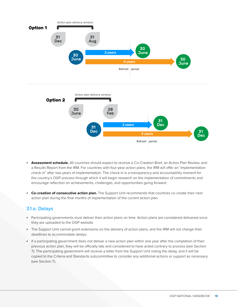<span id="page-18-0"></span>

- **Assessment schedule.** All countries should expect to receive a Co-Creation Brief, an Action Plan Review, and a Results Report from the IRM. For countries with four-year action plans, the IRM will offer an "implementation check-in" after two years of implementation. The check-in is a transparency and accountability moment for the country's OGP process through which it will begin research on the implementation of commitments and encourage reflection on achievements, challenges, and opportunities going forward.
- **Co-creation of consecutive action plan.** The Support Unit recommends that countries co-create their next action plan during the final months of implementation of the current action plan.

#### 3.1.a. Delays

- Participating governments must deliver their action plans on time. Action plans are considered delivered once they are uploaded to the OGP website.
- The Support Unit cannot grant extensions on the delivery of action plans, and the IRM will not change their deadlines to accommodate delays.
- If a participating government does not deliver a new action plan within one year after the completion of their previous action plan, they will be officially late and considered to have acted contrary to process (see Section 7). The participating government will receive a letter from the Support Unit noting the delay, and it will be copied to the Criteria and Standards subcommittee to consider any additional actions or support as necessary (see Section 7).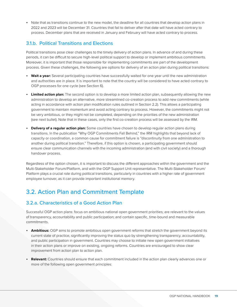<span id="page-19-0"></span>• Note that as transitions continue to the new model, the deadline for all countries that develop action plans in 2022 and 2023 will be December 31. Countries that fail to deliver after that date will have acted contrary to process. December plans that are received in January and February will have acted contrary to process.

#### 3.1.b. Political Transitions and Elections

Political transitions pose clear challenges to the timely delivery of action plans. In advance of and during these periods, it can be difficult to secure high-level political support to develop or implement ambitious commitments. Moreover, it is important that those responsible for implementing commitments are part of the development process. Given these challenges, the following are options for delivery of an action plan during political transitions:

- **Wait a year:** Several participating countries have successfully waited for one year until the new administration and authorities are in place. It is important to note that the country will be considered to have acted contrary to OGP processes for one cycle (see Section 6).
- **Limited action plan:** The second option is to develop a more limited action plan, subsequently allowing the new administration to develop an alternative, more streamlined co-creation process to add new commitments (while acting in accordance with action plan modification rules outlined in Section 2.2). This allows a participating government to maintain momentum and avoid acting contrary to process. However, the commitments might not be very ambitious, or they might not be completed, depending on the priorities of the new administration (see next bullet). Note that in these cases, only the first co-creation process will be assessed by the IRM.
- **Delivery of a regular action plan:** Some countries have chosen to develop regular action plans during transitions. In the publication "Why OGP Commitments Fall Behind," the IRM highlights that beyond lack of capacity or coordination, a common cause for commitment failure is "discontinuity from one administration to another during political transition." Therefore, if this option is chosen, a participating government should ensure clear communication channels with the incoming administration (and with civil society) and a thorough handover process.

Regardless of the option chosen, it is important to discuss the different approaches within the government and the Multi-Stakeholder Forum/Platform, and with the OGP Support Unit representative. The Multi-Stakeholder Forum/ Platform plays a crucial role during political transitions, particularly in countries with a higher rate of government employee turnover, as it can provide important institutional memory.

## 3.2. Action Plan and Commitment Template

#### 3.2.a. Characteristics of a Good Action Plan

Successful OGP action plans: focus on ambitious national open government priorities; are relevant to the values of transparency, accountability and public participation; and contain specific, time-bound and measurable commitments.

- **Ambitious:** OGP aims to promote ambitious open government reforms that stretch the government beyond its current state of practice, significantly improving the status quo by strengthening transparency, accountability, and public participation in government. Countries may choose to initiate new open government initiatives in their action plans or improve on existing, ongoing reforms. Countries are encouraged to show clear improvement from action plan to action plan.
- **Relevant:** Countries should ensure that each commitment included in the action plan clearly advances one or more of the following open government principles: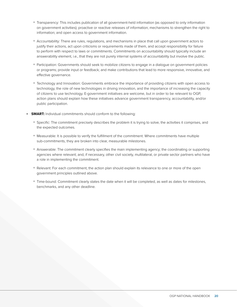- Transparency: This includes publication of all government-held information (as opposed to only information on government activities); proactive or reactive releases of information; mechanisms to strengthen the right to information; and open access to government information.
- Accountability: There are rules, regulations, and mechanisms in place that call upon government actors to justify their actions, act upon criticisms or requirements made of them, and accept responsibility for failure to perform with respect to laws or commitments. Commitments on accountability should typically include an answerability element, i.e., that they are not purely internal systems of accountability but involve the public.
- Participation: Governments should seek to mobilize citizens to engage in a dialogue on government policies or programs; provide input or feedback; and make contributions that lead to more responsive, innovative, and effective governance.
- Technology and Innovation: Governments embrace the importance of providing citizens with open access to technology, the role of new technologies in driving innovation, and the importance of increasing the capacity of citizens to use technology. E-government initiatives are welcome, but in order to be relevant to OGP, action plans should explain how these initiatives advance government transparency, accountability, and/or public participation.
- **SMART:** Individual commitments should conform to the following:
	- Specific: The commitment precisely describes the problem it is trying to solve, the activities it comprises, and the expected outcomes.
	- Measurable: It is possible to verify the fulfillment of the commitment. Where commitments have multiple sub-commitments, they are broken into clear, measurable milestones.
	- Answerable: The commitment clearly specifies the main implementing agency; the coordinating or supporting agencies where relevant; and, if necessary, other civil society, multilateral, or private sector partners who have a role in implementing the commitment.
	- Relevant: For each commitment, the action plan should explain its relevance to one or more of the open government principles outlined above.
	- Time-bound: Commitment clearly states the date when it will be completed, as well as dates for milestones, benchmarks, and any other deadline.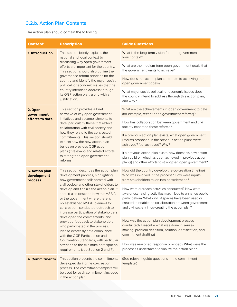#### <span id="page-21-0"></span>3.2.b. Action Plan Contents

The action plan should contain the following:

| <b>Content</b>                                                                                                                                                                | <b>Description</b>                                                                                                                                                                                                                                                                                                                                                                                      | <b>Guide Questions</b>                                                                                                                                                                                                                                                              |
|-------------------------------------------------------------------------------------------------------------------------------------------------------------------------------|---------------------------------------------------------------------------------------------------------------------------------------------------------------------------------------------------------------------------------------------------------------------------------------------------------------------------------------------------------------------------------------------------------|-------------------------------------------------------------------------------------------------------------------------------------------------------------------------------------------------------------------------------------------------------------------------------------|
| 1. Introduction                                                                                                                                                               | This section briefly explains the<br>national and local context by                                                                                                                                                                                                                                                                                                                                      | What is the long-term vision for open government in<br>your context?                                                                                                                                                                                                                |
|                                                                                                                                                                               | discussing why open government<br>efforts are important for the country.<br>This section should also outline the                                                                                                                                                                                                                                                                                        | What are the medium-term open government goals that<br>the government wants to achieve?                                                                                                                                                                                             |
|                                                                                                                                                                               | governance reform priorities for the<br>country and identify the major social,<br>political, or economic issues that the                                                                                                                                                                                                                                                                                | How does this action plan contribute to achieving the<br>open government goals?                                                                                                                                                                                                     |
|                                                                                                                                                                               | country intends to address through<br>its OGP action plan, along with a<br>justification.                                                                                                                                                                                                                                                                                                               | What major social, political, or economic issues does<br>the country intend to address through this action plan,<br>and why?                                                                                                                                                        |
| 2. Open<br>government                                                                                                                                                         | This section provides a brief<br>narrative of key open government                                                                                                                                                                                                                                                                                                                                       | What are the achievements in open government to date<br>(for example, recent open government reforms)?                                                                                                                                                                              |
| efforts to date                                                                                                                                                               | initiatives and accomplishments to<br>date, particularly those that reflect<br>collaboration with civil society and                                                                                                                                                                                                                                                                                     | How has collaboration between government and civil<br>society impacted these reforms?                                                                                                                                                                                               |
|                                                                                                                                                                               | how they relate to the co-created<br>commitments. This section should<br>explain how the new action plan<br>builds on previous OGP action                                                                                                                                                                                                                                                               | If a previous action plan exists, what open government<br>reforms proposed in the previous action plans were<br>achieved? Not achieved? Why?                                                                                                                                        |
|                                                                                                                                                                               | plans (if relevant) and related efforts<br>to strengthen open government<br>reforms.                                                                                                                                                                                                                                                                                                                    | If a previous action plan exists, how does this new action<br>plan build on what has been achieved in previous action<br>plan(s) and other efforts to strengthen open government?                                                                                                   |
| 3. Action plan<br>development<br>process                                                                                                                                      | This section describes the action plan<br>development process, highlighting<br>how government collaborated with<br>civil society and other stakeholders to<br>develop and finalize the action plan. It<br>should also describe how the MSF/P,<br>or the government where there is<br>no established MSF/P, planned for<br>co-creation, conducted outreach to<br>increase participation of stakeholders, | How did the country develop the co-creation timeline?<br>Who was involved in the process? How were inputs<br>from stakeholders taken into consideration?                                                                                                                            |
|                                                                                                                                                                               |                                                                                                                                                                                                                                                                                                                                                                                                         | How were outreach activities conducted? How were<br>awareness-raising activities maximized to enhance public<br>participation? What kind of spaces have been used or<br>created to enable the collaboration between government<br>and civil society in co-creating the action plan? |
| developed the commitments, and<br>provided feedback to stakeholders<br>who participated in the process.<br>Please expressly note compliance<br>with the OGP Participation and | How was the action plan development process<br>conducted? Describe what was done in sense-<br>making, problem definition, solution identification, and<br>commitment drafting?                                                                                                                                                                                                                          |                                                                                                                                                                                                                                                                                     |
|                                                                                                                                                                               | Co-Creation Standards, with particular<br>attention to the minimum participation<br>requirements (see Section 2 and 7).                                                                                                                                                                                                                                                                                 | How was reasoned response provided? What were the<br>processes undertaken to finalize the action plan?                                                                                                                                                                              |
| 4. Commitments                                                                                                                                                                | This section presents the commitments<br>developed during the co-creation<br>process. The commitment template will<br>be used for each commitment included<br>in the action plan.                                                                                                                                                                                                                       | (See relevant guide questions in the commitment<br>template.)                                                                                                                                                                                                                       |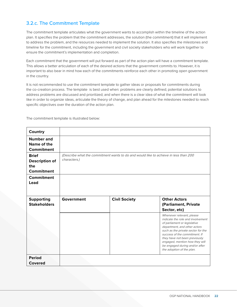#### <span id="page-22-0"></span>3.2.c. The Commitment Template

The commitment template articulates what the government wants to accomplish within the timeline of the action plan. It specifies the problem that the commitment addresses, the solution (the commitment) that it will implement to address the problem, and the resources needed to implement the solution. It also specifies the milestones and timeline for the commitment, including the government and civil society stakeholders who will work together to ensure the commitment's implementation and completion.

Each commitment that the government will put forward as part of the action plan will have a commitment template. This allows a better articulation of each of the desired actions that the government commits to. However, it is important to also bear in mind how each of the commitments reinforce each other in promoting open government in the country.

It is not recommended to use the commitment template to gather ideas or proposals for commitments during the co-creation process. The template is best used when: problems are clearly defined; potential solutions to address problems are discussed and prioritized; and when there is a clear idea of what the commitment will look like in order to organize ideas, articulate the theory of change, and plan ahead for the milestones needed to reach specific objectives over the duration of the action plan.

**Country Number and Name of the Commitment Brief Description of the Commitment** (Describe what the commitment wants to do and would like to achieve in less than 200 characters.) **Commitment Lead Supporting Stakeholders Government Civil Society Other Actors (Parliament, Private Sector, etc)** Whenever relevant, please indicate the role and involvement of parliament or legislative department, and other actors such as the private sector for the success of the commitment. If they have not been previously engaged, mention how they will be engaged during and/or after the adoption of the plan. **Period Covered** 

**1. What problem does the commitment aim to address?**

The commitment template is illustrated below: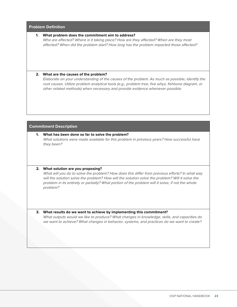#### **Problem Definition**

#### **1. What problem does the commitment aim to address?**

Who are affected? Where is it taking place? How are they affected? When are they most affected? When did the problem start? How long has the problem impacted those affected?

#### **2. What are the causes of the problem?**

Elaborate on your understanding of the causes of the problem. As much as possible, identify the root causes. Utilize problem analytical tools (e.g., problem tree, five whys, fishbone diagram, or other related methods) when necessary and provide evidence whenever possible.

#### **Commitment Description**

**1. What has been done so far to solve the problem?** What solutions were made available for this problem in previous years? How successful have they been?

#### **2. What solution are you proposing?**

to information and data information and data information and data information  $\mathcal{H}$ 

What will you do to solve the problem? How does this differ from previous efforts? In what way will the solution solve the problem? How will the solution solve the problem? Will it solve the problem in its entirety or partially? What portion of the problem will it solve, if not the whole problem?

#### **3. What results do we want to achieve by implementing this commitment?**

What outputs would we like to produce? What changes in knowledge, skills, and capacities do we want to achieve? What changes in behavior, systems, and practices do we want to create?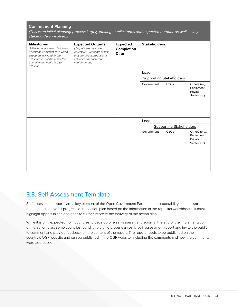#### <span id="page-24-0"></span>**Commitment Planning**

(This is an initial planning process largely looking at milestones and expected outputs, as well as key stakeholders involved.)

| <b>Milestones</b><br>(Milestones are part of a series<br>of actions or events that, when<br>executed, will lead to the<br>achievement of the result the<br>commitment would like to<br>achieve.) | <b>Expected Outputs</b><br>(Outputs are concrete,<br>objectively-verifiable results<br>that are direct products of<br>activities conducted or<br>implemented.) | <b>Expected</b><br>Completion<br><b>Date</b> | <b>Stakeholders</b> |                                |                                                        |
|--------------------------------------------------------------------------------------------------------------------------------------------------------------------------------------------------|----------------------------------------------------------------------------------------------------------------------------------------------------------------|----------------------------------------------|---------------------|--------------------------------|--------------------------------------------------------|
|                                                                                                                                                                                                  |                                                                                                                                                                |                                              | Lead:               |                                |                                                        |
|                                                                                                                                                                                                  |                                                                                                                                                                |                                              |                     | <b>Supporting Stakeholders</b> |                                                        |
|                                                                                                                                                                                                  |                                                                                                                                                                |                                              | Government          | CSO <sub>S</sub>               | Others (e.g.,<br>Parliament,<br>Private<br>Sector etc) |
|                                                                                                                                                                                                  |                                                                                                                                                                |                                              |                     |                                |                                                        |
|                                                                                                                                                                                                  |                                                                                                                                                                |                                              | Lead:               |                                |                                                        |
|                                                                                                                                                                                                  |                                                                                                                                                                |                                              |                     | <b>Supporting Stakeholders</b> |                                                        |
|                                                                                                                                                                                                  |                                                                                                                                                                |                                              | Government          | CSO <sub>S</sub>               | Others (e.g.,<br>Parliament,<br>Private<br>Sector etc) |
|                                                                                                                                                                                                  |                                                                                                                                                                |                                              |                     |                                |                                                        |

### 3.3. Self-Assessment Template

Self-assessment reports are a key element of the Open Government Partnership accountability mechanism. It documents the overall progress of the action plan based on the information in the repository/dashboard. It must highlight opportunities and gaps to further improve the delivery of the action plan.

While it is only expected from countries to develop one self-assessment report at the end of the implementation of the action plan, some countries found it helpful to prepare a yearly self-assessment report and invite the public to comment and provide feedback on the content of the report. The report needs to be published on the country's OGP website and can be published in the OGP website, including the comments and how the comments were addressed.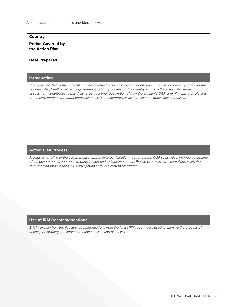| Country                                     |  |
|---------------------------------------------|--|
| <b>Period Covered by</b><br>the Action Plan |  |
| <b>Date Prepared</b>                        |  |

#### **Introduction**

Briefly explain below the national and local context by discussing why open government efforts are important for the country. Also, briefly outline the governance reform priorities for the country and how the action plan under assessment contributes to this. Also, provide a brief description of how the country's OGP commitments are relevant to the core open government principles of OGP (transparency, civic participation, public accountability).

#### **Action Plan Process**

Provide a narrative of the government's approach to participation throughout the OGP cycle. Also, provide a narrative of the government's approach to participation during implementation. Please expressly note compliance with the relevant standards in the OGP Participation and Co-Creation Standards.

#### **Use of IRM Recommendations**

Briefly explain how the five key recommendations from the latest IRM report were used to improve the process of action plan drafting and implementation in this action plan cycle.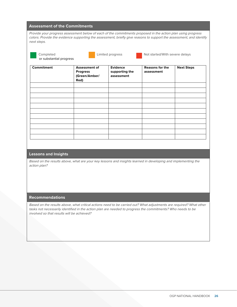#### **Assessment of the Commitments**

Provide your progress assessment below of each of the commitments proposed in the action plan using progress colors. Provide the evidence supporting the assessment, briefly give reasons to support the assessment, and identify next steps.

| . .<br>$\sim$<br>٠ |
|--------------------|
|                    |

or substantial progress

Completed **Limited progress** Not started/With severe delays

**Commitment Assessment of Progress (Green/Amber/ Red) Evidence supporting the assessment Reasons for the assessment Next Steps**

#### **Lessons and Insights**

Based on the results above, what are your key lessons and insights learned in developing and implementing the action plan?

#### **Recommendations**

Based on the results above, what critical actions need to be carried out? What adjustments are required? What other tasks not necessarily identified in the action plan are needed to progress the commitments? Who needs to be involved so that results will be achieved?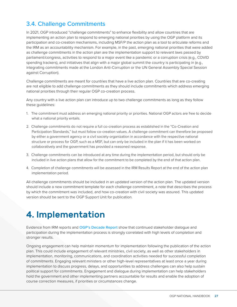## <span id="page-27-1"></span><span id="page-27-0"></span>3.4. Challenge Commitments

In 2021, OGP introduced "challenge commitments" to enhance flexibility and allow countries that are implementing an action plan to respond to emerging national priorities by using the OGP platform and its participation and co-creation mechanisms, including MSF/P the action plan as a tool to articulate reforms and the IRM as an accountability mechanism. For example, in the past, emerging national priorities that were added as challenge commitments in the action plan are the implementation support to relevant laws passed by parliament/congress, activities to respond to a major event like a pandemic or a corruption crisis (e.g., COVID spending trackers), and initiatives that align with a major global summit the country is participating in (e.g., integrating commitments made at the London Anti-Corruption or the UN General Assembly Special Session against Corruption).

Challenge commitments are meant for countries that have a live action plan. Countries that are co-creating are not eligible to add challenge commitments as they should include commitments which address emerging national priorities through their regular OGP co-creation process.

Any country with a live action plan can introduce up to two challenge commitments as long as they follow these guidelines:

- 1. The commitment must address an emerging national priority or priorities. National OGP actors are free to decide what a national priority entails.
- 2. Challenge commitments do not require a full co-creation process as established in the "Co-Creation and Participation Standards," but must follow co-creation values. A challenge commitment can therefore be proposed by either a government agency or a civil society organization in accordance with the respective national structure or process for OGP, such as a MSF, but can only be included in the plan if it has been worked on collaboratively and the government has provided a reasoned response.
- 3. Challenge commitments can be introduced at any time during the implementation period, but should only be included in live action plans that allow for the commitment to be completed by the end of that action plan.
- 4. Completion of challenge commitments will be assessed in the IRM Results Report at the end of the action plan implementation period.

All challenge commitments should be included in an updated version of the action plan. The updated version should include a new commitment template for each challenge commitment, a note that describes the process by which the commitment was included, and how co-creation with civil society was assured. This updated version should be sent to the OGP Support Unit for publication.

## <span id="page-27-2"></span>4. Implementation

Evidence from IRM reports and [OGP's Decade Report](https://www.opengovpartnership.org/ogp-at-ten-toward-democratic-renewal/) show that continued stakeholder dialogue and participation during the implementation process is strongly correlated with high levels of completion and stronger results.

Ongoing engagement can help maintain momentum for implementation following the publication of the action plan. This could include engagement of relevant ministries, civil society, as well as other stakeholders in implementation, monitoring, communications, and coordination activities needed for successful completion of commitments. Engaging relevant ministers or other high-level representatives at least once a year during implementation to discuss progress, delays, and opportunities to address challenges can also help sustain political support for commitments. Engagement and dialogue during implementation can help stakeholders hold the government and other implementing partners accountable for results and enable the adoption of course correction measures, if priorities or circumstances change.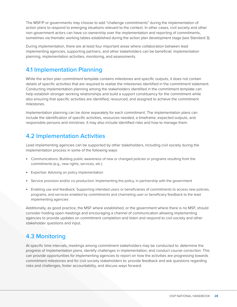<span id="page-28-0"></span>The MSF/P or governments may choose to add "challenge commitments" during the implementation of action plans to respond to emerging situations relevant to the context. In other cases, civil society and other non-government actors can have co-ownership over the implementation and reporting of commitments, sometimes via thematic working tables established during the action plan development stage (see Standard 3).

During implementation, there are at least four important areas where collaboration between lead implementing agencies, supporting partners, and other stakeholders can be beneficial: implementation planning, implementation activities, monitoring, and assessments.

### 4.1 Implementation Planning

While the action plan commitment template contains milestones and specific outputs, it does not contain details of specific activities that are required to realize the milestones identified in the commitment statement. Conducting implementation planning among the stakeholders identified in the commitment template can help establish stronger working relationships and build a support constituency for the commitment while also ensuring that specific activities are identified, resourced, and assigned to achieve the commitment milestones.

Implementation planning can be done separately for each commitment. The implementation plans can include the identification of specific activities, resources needed, a timeframe, expected outputs, and responsible persons and ministries. It may also include identified risks and how to manage them.

### 4.2 Implementation Activities

Lead implementing agencies can be supported by other stakeholders, including civil society during the implementation process in some of the following ways:

- Communications: Building public awareness of new or changed policies or programs resulting from the commitments (e.g., new rights, services, etc.)
- Expertise: Advising on policy implementation
- Service provision and/or co-production: Implementing the policy, in partnership with the government
- Enabling use and feedback: Supporting intended users or beneficiaries of commitments to access new policies, programs, and services enabled by commitments and channeling user or beneficiary feedback to the lead implementing agencies

Additionally, as good practice, the MSF where established, or the government where there is no MSF, should consider holding open meetings and encouraging a channel of communication allowing implementing agencies to provide updates on commitment completion and listen and respond to civil society and other stakeholder questions and input.

## 4.3 Monitoring

At specific time intervals, meetings among commitment stakeholders may be conducted to: determine the progress of implementation plans, identify challenges in implementation, and conduct course-correction. This can provide opportunities for implementing agencies to report on how the activities are progressing towards commitment milestones and for civil society stakeholders to: provide feedback and ask questions regarding risks and challenges, foster accountability, and discuss ways forward.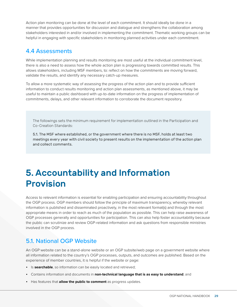<span id="page-29-1"></span>Action plan monitoring can be done at the level of each commitment. It should ideally be done in a manner that provides opportunities for discussion and dialogue and strengthens the collaboration among stakeholders interested in and/or involved in implementing the commitment. Thematic working groups can be helpful in engaging with specific stakeholders in monitoring planned activities under each commitment.

### <span id="page-29-0"></span>4.4 Assessments

While implementation planning and results monitoring are most useful at the individual commitment level, there is also a need to assess how the whole action plan is progressing towards committed results. This allows stakeholders, including MSF members, to: reflect on how the commitments are moving forward, validate the results, and identify any necessary catch-up measures.

To allow a more systematic way of assessing the progress of the action plan and to provide sufficient information to conduct results monitoring and action plan assessments, as mentioned above, it may be useful to maintain a public dashboard with up-to-date information on the progress of implementation of commitments, delays, and other relevant information to corroborate the document repository.

The followings sets the minimum requirement for implementation outlined in the Participation and Co-Creation Standards:

5.1. The MSF where established, or the government where there is no MSF, holds at least two meetings every year with civil society to present results on the implementation of the action plan and collect comments.

## <span id="page-29-2"></span>5. Accountability and Information Provision

Access to relevant information is essential for enabling participation and ensuring accountability throughout the OGP process. OGP members should follow the principle of maximum transparency, whereby relevant information is published and disseminated proactively, in the most relevant format(s) and through the most appropriate means in order to reach as much of the population as possible. This can help raise awareness of OGP processes generally and opportunities for participation. This can also help foster accountability because the public can scrutinize and review OGP-related information and ask questions from responsible ministries involved in the OGP process.

## 5.1. National OGP Website

An OGP website can be a stand-alone website or an OGP subsite/web page on a government website where all information related to the country's OGP processes, outputs, and outcomes are published. Based on the experience of member countries, it is helpful if the website or page:

- Is **searchable**, so information can be easily located and retrieved;
- Contains information and documents in **non-technical language that is as easy to understand**; and
- Has features that **allow the public to comment** as progress updates.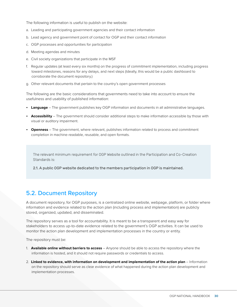<span id="page-30-0"></span>The following information is useful to publish on the website:

- a. Leading and participating government agencies and their contact information
- b. Lead agency and government point of contact for OGP and their contact information
- c. OGP processes and opportunities for participation
- d. Meeting agendas and minutes
- e. Civil society organizations that participate in the MSF
- f. Regular updates (at least every six months) on the progress of commitment implementation, including progress toward milestones, reasons for any delays, and next steps (Ideally, this would be a public dashboard to corroborate the document repository.)
- g. Other relevant documents that pertain to the country's open government processes

The following are the basic considerations that governments need to take into account to ensure the usefulness and usability of published information:

- **Language**  The government publishes key OGP information and documents in all administrative languages.
- **Accessibility**  The government should consider additional steps to make information accessible by those with visual or auditory impairment.
- **Openness** The government, where relevant, publishes information related to process and commitment completion in machine-readable, reusable, and open formats.

The relevant minimum requirement for OGP Website outlined in the Participation and Co-Creation Standards is:

2.1. A public OGP website dedicated to the members participation in OGP is maintained.

### 5.2. Document Repository

A document repository, for OGP purposes, is a centralized online website, webpage, platform, or folder where information and evidence related to the action plan (including process and implementation) are publicly stored, organized, updated, and disseminated.

The repository serves as a tool for accountability. It is meant to be a transparent and easy way for stakeholders to access up-to-date evidence related to the government's OGP activities. It can be used to monitor the action plan development and implementation processes in the country or entity.

The repository must be:

- 1. **Available online without barriers to access** Anyone should be able to access the repository where the information is hosted, and it should not require passwords or credentials to access.
- 2. **Linked to evidence, with information on development and implementation of the action plan** Information on the repository should serve as clear evidence of what happened during the action plan development and implementation processes.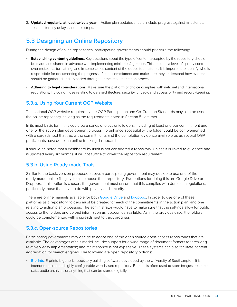<span id="page-31-0"></span>3. **Updated regularly, at least twice a year** – Action plan updates should include progress against milestones, reasons for any delays, and next steps.

### 5.3 Designing an Online Repository

During the design of online repositories, participating governments should prioritize the following:

- **Establishing content guidelines.** Key decisions about the type of content accepted by the repository should be made and shared in advance with implementing ministries/agencies. This ensures a level of quality control over metadata, formatting, and in some cases content of the deposited material. It is important to identify who is responsible for documenting the progress of each commitment and make sure they understand how evidence should be gathered and uploaded throughout the implementation process.
- **Adhering to legal considerations.** Make sure the platform of choice complies with national and international regulations, including those relating to data architecture, security, privacy, and accessibility and record-keeping.

#### 5.3.a. Using Your Current OGP Website

The national OGP website required by the OGP Participation and Co-Creation Standards may also be used as the online repository, as long as the requirements noted in Section 5.1 are met.

In its most basic form, this could be a series of electronic folders, including at least one per commitment and one for the action plan development process. To enhance accessibility, the folder could be complemented with a spreadsheet that tracks the commitments and the completion evidence available or, as several OGP participants have done, an online tracking dashboard.

It should be noted that a dashboard by itself is not considered a repository. Unless it is linked to evidence and is updated every six months, it will not suffice to cover the repository requirement.

#### 5.3.b. Using Ready-made Tools

Similar to the basic version proposed above, a participating government may decide to use one of the ready-made online filing systems to house their repository. Two options for doing this are Google Drive or Dropbox. If this option is chosen, the government must ensure that this complies with domestic regulations, particularly those that have to do with privacy and security.

There are online manuals available for both [Google Drive](https://support.google.com/a/users/answer/9310246#!/) and [Dropbox](https://help.dropbox.com/guide). In order to use one of these platforms as a repository, folders must be created for each of the commitments in the action plan, and one relating to action plan processes. The administrator would have to make sure that the settings allow for public access to the folders and upload information as it becomes available. As in the previous case, the folders could be complemented with a spreadsheet to track progress.

#### 5.3.c. Open-source Repositories

Participating governments may decide to adopt one of the open source open-access repositories that are available. The advantages of this model include: support for a wide range of document formats for archiving; relatively easy implementation; and maintenance is not expensive. These systems can also facilitate content aggregation for search engines. The following are open repository options:

• [E-prints](https://www.eprints.org/uk/): E-prints is generic repository building software developed by the University of Southampton. It is intended to create a highly configurable web-based repository. E-prints is often used to store images, research data, audio archives, or anything that can be stored digitally.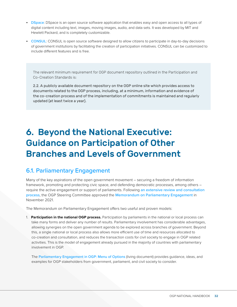- <span id="page-32-0"></span>• [DSpace](https://duraspace.org/dspace/): DSpace is an open source software application that enables easy and open access to all types of digital content including text, images, moving images, audio, and data sets. It was developed by MIT and Hewlett Packard, and is completely customizable.
- [CONSUL](https://consulproject.org/en/): CONSUL is open source software designed to allow citizens to participate in day-to-day decisions of government institutions by facilitating the creation of participation initiatives. CONSUL can be customized to include different features and is free.

The relevant minimum requirement for OGP document repository outlined in the Participation and Co-Creation Standards is:

2.2. A publicly available document repository on the OGP online site which provides access to documents related to the OGP process, including, at a minimum, information and evidence of the co-creation process and of the implementation of commitments is maintained and regularly updated (at least twice a year).

## <span id="page-32-1"></span>6. Beyond the National Executive: Guidance on Participation of Other Branches and Levels of Government

### 6.1. Parliamentary Engagement

Many of the key aspirations of the open government movement – securing a freedom of information framework, promoting and protecting civic space, and defending democratic processes, among others – require the active engagement or support of parliaments. Following [an extensive review and consultation](https://www.opengovpartnership.org/stories/introducing-ogps-way-forward-on-parliamentary-engagement/)  [process](https://www.opengovpartnership.org/stories/introducing-ogps-way-forward-on-parliamentary-engagement/), the OGP Steering Committee approved the [Memorandum on Parliamentary Engagement](https://www.opengovpartnership.org/documents/memorandum-on-parliamentary-engagement/) in November 2021.

The Memorandum on Parliamentary Engagement offers two useful and proven models:

1. **Participation in the national OGP process.** Participation by parliaments in the national or local process can take many forms and deliver any number of results. Parliamentary involvement has considerable advantages, allowing synergies on the open government agenda to be explored across branches of government. Beyond this, a single national or local process also allows more efficient use of time and resources allocated to co-creation and consultation, and reduces the transaction costs for civil society to engage in OGP related activities. This is the model of engagement already pursued in the majority of countries with parliamentary involvement in OGP.

The [Parliamentary Engagement in OGP: Menu of Options](https://docs.google.com/document/d/184xmaZkZ7KV1sH5ZNMdY3CN1U4EuH_dGCevgGuAHRAk/edit) (living document) provides guidance, ideas, and examples for OGP stakeholders from government, parliament, and civil society to consider.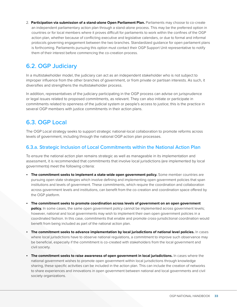<span id="page-33-0"></span>2. **Participation via submission of a stand-alone Open Parliament Plan.** Parliaments may choose to co-create an independent parliamentary action plan through a stand-alone process. This may be the preferred option in countries or for local members where it proves difficult for parliaments to work within the confines of the OGP action plan, whether because of conflicting executive and legislative calendars, or due to formal and informal protocols governing engagement between the two branches. Standardized guidance for open parliament plans is forthcoming. Parliaments pursuing this option must contact their OGP Support Unit representative to notify them of their interest before commencing the co-creation process.

## 6.2. OGP Judiciary

In a multistakeholder model, the judiciary can act as an independent stakeholder who is not subject to improper influence from the other branches of government, or from private or partisan interests. As such, it diversifies and strengthens the multistakeholder process.

In addition, representatives of the judiciary participating in the OGP process can advise on jurisprudence or legal issues related to proposed commitments, as relevant. They can also initiate or participate in commitments related to openness of the judicial system or people's access to justice; this is the practice in several OGP members with justice commitments in their action plans.

## 6.3. OGP Local

The OGP Local strategy seeks to support strategic national-local collaboration to promote reforms across levels of government, including through the national OGP action plan processes.

#### 6.3.a. Strategic Inclusion of Local Commitments within the National Action Plan

To ensure the national action plan remains strategic as well as manageable in its implementation and assessment, it is recommended that commitments that involve local jurisdictions (are implemented by local governments) meet the following criteria:

- **The commitment seeks to implement a state-wide open government policy.** Some member countries are pursuing open state strategies which involve defining and implementing open government policies that span institutions and levels of government. These commitments, which require the coordination and collaboration across government levels and institutions, can benefit from the co-creation and coordination space offered by the OGP platform.
- **The commitment seeks to promote coordination across levels of government on an open government**  policy. In some cases, the same open government policy cannot be implemented across government levels; however, national and local governments may wish to implement their own open government policies in a coordinated fashion. In this case, commitments that enable and promote cross-jurisdictional coordination would benefit from being included as part of the national action plan.
- **The commitment seeks to advance implementation by local jurisdictions of national level policies.** In cases where local jurisdictions have to observe national regulations, a commitment to improve such observance may be beneficial, especially if the commitment is co-created with stakeholders from the local government and civil society.
- **The commitment seeks to raise awareness of open government in local jurisdictions.** In cases where the national government wishes to promote open government within local jurisdictions through knowledge sharing, these specific activities can be included in the action plan. This can include the creation of networks to share experiences and innovations in open government between national and local governments and civil society organizations.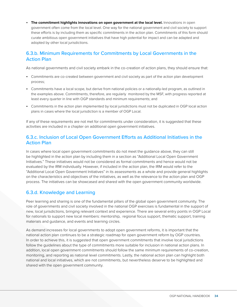<span id="page-34-0"></span>• **The commitment highlights innovations on open government at the local level.** Innovations in open government often come from the local level. One way for the national government and civil society to support these efforts is by including them as specific commitments in the action plan. Commitments of this form should curate ambitious open government initiatives that have high potential for impact and can be adapted and adopted by other local jurisdictions.

#### 6.3.b. Minimum Requirements for Commitments by Local Governments in the Action Plan

As national governments and civil society embark in the co-creation of action plans, they should ensure that:

- Commitments are co-created between government and civil society as part of the action plan development process;
- Commitments have a local scope, but derive from national policies or a nationally-led program, as outlined in the examples above. Commitments, therefore, are regularly monitored by the MSF, with progress reported at least every quarter in line with OGP standards and minimum requirements; and
- Commitments in the action plan implemented by local jurisdictions must not be duplicated in OGP local action plans in cases where the local jurisdiction is a member of OGP Local.

If any of these requirements are not met for commitments under consideration, it is suggested that these activities are included in a chapter on additional open government initiatives.

#### 6.3.c. Inclusion of Local Open Government Efforts as Additional Initiatives in the Action Plan

In cases where local open government commitments do not meet the guidance above, they can still be highlighted in the action plan by including them in a section as "Additional Local Open Government Initiatives." These initiatives would not be considered as formal commitments and hence would not be evaluated by the IRM individually. However, if included in the action plan, the IRM would refer to the "Additional Local Open Government Initiatives" in its assessments as a whole and provide general highlights on the characteristics and objectives of the initiatives, as well as the relevance to the action plan and OGP process. The initiatives can be showcased and shared with the open government community worldwide.

#### 6.3.d. Knowledge and Learning

Peer learning and sharing is one of the fundamental pillars of the global open government community. The role of governments and civil society involved in the national OGP exercises is fundamental in the support of new, local jurisdictions, bringing relevant context and experience. There are several entry points in OGP Local for nationals to support new local members: mentorship, regional focus support, thematic support, training materials and guidance, and events and learning circles.

As demand increases for local governments to adopt open government reforms, it is important that the national action plan continues to be a strategic roadmap for open government reform by OGP countries. In order to achieve this, it is suggested that open government commitments that involve local jurisdictions follow the guidelines about the type of commitments more suitable for inclusion in national action plans. In addition, local open government commitments should follow the same minimum requirements of co-creation, monitoring, and reporting as national level commitments. Lastly, the national action plan can highlight both national and local initiatives, which are not commitments, but nevertheless deserve to be highlighted and shared with the open government community.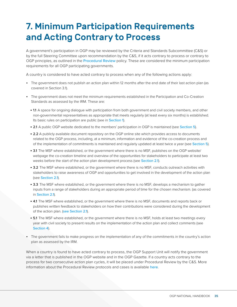## <span id="page-35-1"></span><span id="page-35-0"></span>7. Minimum Participation Requirements and Acting Contrary to Process

A government's participation in OGP may be reviewed by the Criteria and Standards Subcommittee (C&S) or by the full Steering Committee upon recommendation by the C&S, if it acts contrary to process or contrary to OGP principles, as outlined in the [Procedural Review](https://www.opengovpartnership.org/procedural-review/) policy. These are considered the minimum participation requirements for all OGP participating governments.

A country is considered to have acted contrary to process when any of the following actions apply:

- The government does not publish an action plan within 12 months after the end date of their last action plan (as covered in Section 3.1).
- The government does not meet the minimum requirements established in the Participation and Co-Creation Standards as assessed by the IRM. These are:
	- 1.1 A space for ongoing dialogue with participation from both government and civil society members, and other non-governmental representatives as appropriate that meets regularly (at least every six months) is established. Its basic rules on participation are public (see in **[Section 1](#page-5-0))**.
	- 2.1 A public OGP website dedicated to the members' participation in OGP is maintained (see [Section 5](#page-29-2)).
	- 2.2 A publicly available document repository on the OGP online site which provides access to documents related to the OGP process, including, at a minimum, information and evidence of the co-creation process and of the implementation of commitments is maintained and regularly updated at least twice a year (see [Section 5](#page-29-2)).
	- 3.1 The MSF where established, or the government where there is no MSF, publishes on the OGP website/ webpage the co-creation timeline and overview of the opportunities for stakeholders to participate at least two weeks before the start of the action plan development process (see [Section 2.1](#page-9-2)).
	- 3.2 The MSF where established, or the government where there is no MSF, conducts outreach activities with stakeholders to raise awareness of OGP and opportunities to get involved in the development of the action plan (see [Section 2.1](#page-9-2)).
	- 3.3 The MSF where established, or the government where there is no MSF, develops a mechanism to gather inputs from a range of stakeholders during an appropriate period of time for the chosen mechanism. (as covered in [Section 2.1](#page-9-2)).
	- 4.1 The MSF where established, or the government where there is no MSF, documents and reports back or publishes written feedback to stakeholders on how their contributions were considered during the development of the action plan. ([see Section 2.1](#page-9-2)).
	- 5.1 The MSF where established, or the government where there is no MSF, holds at least two meetings every year with civil society to present results on the implementation of the action plan and collect comments (see [Section 4](#page-27-2)).
- The government fails to make progress on the implementation of any of the commitments in the country's action plan as assessed by the IRM.

When a country is found to have acted contrary to process, the OGP Support Unit will notify the government via a letter that is published in the OGP website and in the OGP Gazette. If a country acts contrary to the process for two consecutive action plan cycles, it will be placed under Procedural Review by the C&S. More information about the Procedural Review protocols and cases is available [here](https://www.opengovpartnership.org/procedural-review/).